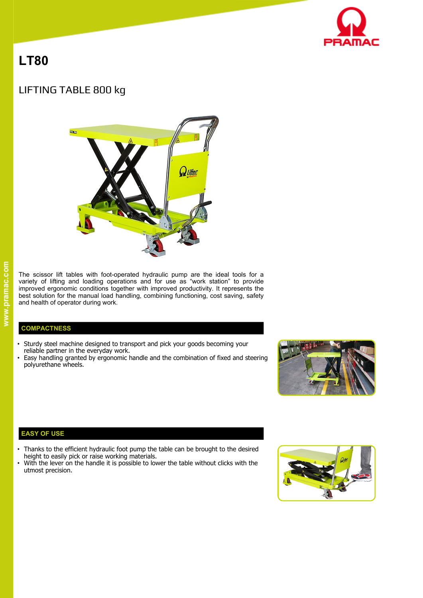

# **LT80**

# LIFTING TABLE 800 kg



The scissor lift tables with foot-operated hydraulic pump are the ideal tools for a variety of lifting and loading operations and for use as "work station" to provide improved ergonomic conditions together with improved productivity. It represents the best solution for the manual load handling, combining functioning, cost saving, safety and health of operator during work.

## **COMPACTNESS**

- Sturdy steel machine designed to transport and pick your goods becoming your reliable partner in the everyday work.
- Easy handling granted by ergonomic handle and the combination of fixed and steering polyurethane wheels.



# **EASY OF USE**

- Thanks to the efficient hydraulic foot pump the table can be brought to the desired height to easily pick or raise working materials.
- With the lever on the handle it is possible to lower the table without clicks with the utmost precision.